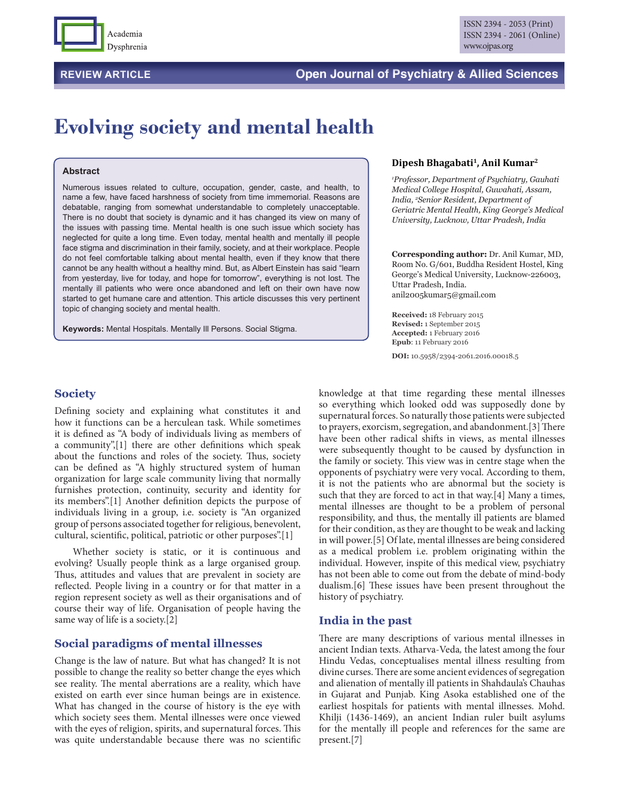

### **REVIEW ARTICLE Open Journal of Psychiatry & Allied Sciences**

# **Evolving society and mental health**

#### **Abstract**

Numerous issues related to culture, occupation, gender, caste, and health, to name a few, have faced harshness of society from time immemorial. Reasons are debatable, ranging from somewhat understandable to completely unacceptable. There is no doubt that society is dynamic and it has changed its view on many of the issues with passing time. Mental health is one such issue which society has neglected for quite a long time. Even today, mental health and mentally ill people face stigma and discrimination in their family, society, and at their workplace. People do not feel comfortable talking about mental health, even if they know that there cannot be any health without a healthy mind. But, as Albert Einstein has said "learn from yesterday, live for today, and hope for tomorrow", everything is not lost. The mentally ill patients who were once abandoned and left on their own have now started to get humane care and attention. This article discusses this very pertinent topic of changing society and mental health.

**Keywords:** Mental Hospitals. Mentally Ill Persons. Social Stigma.

#### **Dipesh Bhagabati1, Anil Kumar2**

*1 Professor, Department of Psychiatry, Gauhati Medical College Hospital, Guwahati, Assam, India, 2 Senior Resident, Department of Geriatric Mental Health, King George's Medical University, Lucknow, Uttar Pradesh, India*

**Corresponding author:** Dr. Anil Kumar, MD, Room No. G/601, Buddha Resident Hostel, King George's Medical University, Lucknow-226003, Uttar Pradesh, India. anil2005kumar5@gmail.com

**Received:** 18 February 2015 **Revised:** 1 September 2015 **Accepted:** 1 February 2016 **Epub**: 11 February 2016

**DOI:** 10.5958/2394-2061.2016.00018.5

#### **Society**

Defining society and explaining what constitutes it and how it functions can be a herculean task. While sometimes it is defined as "A body of individuals living as members of a community",[1] there are other definitions which speak about the functions and roles of the society. Thus, society can be defined as "A highly structured system of human organization for large scale community living that normally furnishes protection, continuity, security and identity for its members".[1] Another definition depicts the purpose of individuals living in a group, i.e. society is "An organized group of persons associated together for religious, benevolent, cultural, scientific, political, patriotic or other purposes".[1]

Whether society is static, or it is continuous and evolving? Usually people think as a large organised group. Thus, attitudes and values that are prevalent in society are reflected. People living in a country or for that matter in a region represent society as well as their organisations and of course their way of life. Organisation of people having the same way of life is a society.[2]

#### **Social paradigms of mental illnesses**

Change is the law of nature. But what has changed? It is not possible to change the reality so better change the eyes which see reality. The mental aberrations are a reality, which have existed on earth ever since human beings are in existence. What has changed in the course of history is the eye with which society sees them. Mental illnesses were once viewed with the eyes of religion, spirits, and supernatural forces. This was quite understandable because there was no scientific

knowledge at that time regarding these mental illnesses so everything which looked odd was supposedly done by supernatural forces. So naturally those patients were subjected to prayers, exorcism, segregation, and abandonment.[3] There have been other radical shifts in views, as mental illnesses were subsequently thought to be caused by dysfunction in the family or society. This view was in centre stage when the opponents of psychiatry were very vocal. According to them, it is not the patients who are abnormal but the society is such that they are forced to act in that way.[4] Many a times, mental illnesses are thought to be a problem of personal responsibility, and thus, the mentally ill patients are blamed for their condition, as they are thought to be weak and lacking in will power.[5] Of late, mental illnesses are being considered as a medical problem i.e. problem originating within the individual. However, inspite of this medical view, psychiatry has not been able to come out from the debate of mind-body dualism.[6] These issues have been present throughout the history of psychiatry.

#### **India in the past**

There are many descriptions of various mental illnesses in ancient Indian texts. Atharva-Veda*,* the latest among the four Hindu Vedas, conceptualises mental illness resulting from divine curses. There are some ancient evidences of segregation and alienation of mentally ill patients in Shahdaula's Chauhas in Gujarat and Punjab. King Asoka established one of the earliest hospitals for patients with mental illnesses. Mohd. Khilji (1436-1469), an ancient Indian ruler built asylums for the mentally ill people and references for the same are present.[7]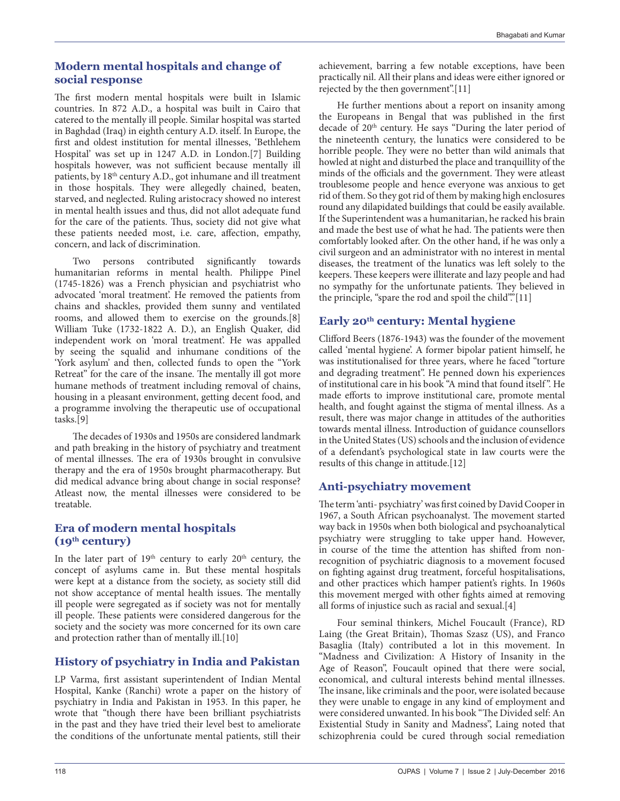#### **Modern mental hospitals and change of social response**

The first modern mental hospitals were built in Islamic countries. In 872 A.D., a hospital was built in Cairo that catered to the mentally ill people. Similar hospital was started in Baghdad (Iraq) in eighth century A.D. itself. In Europe, the first and oldest institution for mental illnesses, 'Bethlehem Hospital' was set up in 1247 A.D. in London.[7] Building hospitals however, was not sufficient because mentally ill patients, by 18<sup>th</sup> century A.D., got inhumane and ill treatment in those hospitals. They were allegedly chained, beaten, starved, and neglected. Ruling aristocracy showed no interest in mental health issues and thus, did not allot adequate fund for the care of the patients. Thus, society did not give what these patients needed most, i.e. care, affection, empathy, concern, and lack of discrimination.

Two persons contributed significantly towards humanitarian reforms in mental health. Philippe Pinel (1745-1826) was a French physician and psychiatrist who advocated 'moral treatment'. He removed the patients from chains and shackles, provided them sunny and ventilated rooms, and allowed them to exercise on the grounds.[8] William Tuke (1732-1822 A. D.), an English Quaker, did independent work on 'moral treatment'. He was appalled by seeing the squalid and inhumane conditions of the 'York asylum' and then, collected funds to open the "York Retreat" for the care of the insane. The mentally ill got more humane methods of treatment including removal of chains, housing in a pleasant environment, getting decent food, and a programme involving the therapeutic use of occupational tasks.[9]

The decades of 1930s and 1950s are considered landmark and path breaking in the history of psychiatry and treatment of mental illnesses. The era of 1930s brought in convulsive therapy and the era of 1950s brought pharmacotherapy. But did medical advance bring about change in social response? Atleast now, the mental illnesses were considered to be treatable.

#### **Era of modern mental hospitals (19th century)**

In the later part of  $19<sup>th</sup>$  century to early  $20<sup>th</sup>$  century, the concept of asylums came in. But these mental hospitals were kept at a distance from the society, as society still did not show acceptance of mental health issues. The mentally ill people were segregated as if society was not for mentally ill people. These patients were considered dangerous for the society and the society was more concerned for its own care and protection rather than of mentally ill.[10]

# **History of psychiatry in India and Pakistan**

LP Varma, first assistant superintendent of Indian Mental Hospital, Kanke (Ranchi) wrote a paper on the history of psychiatry in India and Pakistan in 1953. In this paper, he wrote that "though there have been brilliant psychiatrists in the past and they have tried their level best to ameliorate the conditions of the unfortunate mental patients, still their

achievement, barring a few notable exceptions, have been practically nil. All their plans and ideas were either ignored or rejected by the then government".[11]

He further mentions about a report on insanity among the Europeans in Bengal that was published in the first decade of 20<sup>th</sup> century. He says "During the later period of the nineteenth century, the lunatics were considered to be horrible people. They were no better than wild animals that howled at night and disturbed the place and tranquillity of the minds of the officials and the government. They were atleast troublesome people and hence everyone was anxious to get rid of them. So they got rid of them by making high enclosures round any dilapidated buildings that could be easily available. If the Superintendent was a humanitarian, he racked his brain and made the best use of what he had. The patients were then comfortably looked after. On the other hand, if he was only a civil surgeon and an administrator with no interest in mental diseases, the treatment of the lunatics was left solely to the keepers. These keepers were illiterate and lazy people and had no sympathy for the unfortunate patients. They believed in the principle, "spare the rod and spoil the child"."[11]

# **Early 20th century: Mental hygiene**

Clifford Beers (1876-1943) was the founder of the movement called 'mental hygiene'. A former bipolar patient himself, he was institutionalised for three years, where he faced "torture and degrading treatment". He penned down his experiences of institutional care in his book "A mind that found itself ". He made efforts to improve institutional care, promote mental health, and fought against the stigma of mental illness. As a result, there was major change in attitudes of the authorities towards mental illness. Introduction of guidance counsellors in the United States (US) schools and the inclusion of evidence of a defendant's psychological state in law courts were the results of this change in attitude.[12]

# **Anti-psychiatry movement**

The term 'anti- psychiatry' was first coined by David Cooper in 1967, a South African psychoanalyst. The movement started way back in 1950s when both biological and psychoanalytical psychiatry were struggling to take upper hand. However, in course of the time the attention has shifted from nonrecognition of psychiatric diagnosis to a movement focused on fighting against drug treatment, forceful hospitalisations, and other practices which hamper patient's rights. In 1960s this movement merged with other fights aimed at removing all forms of injustice such as racial and sexual.[4]

Four seminal thinkers*,* Michel Foucault (France), RD Laing (the Great Britain), Thomas Szasz (US), and Franco Basaglia (Italy) contributed a lot in this movement. In "Madness and Civilization: A History of Insanity in the Age of Reason", Foucault opined that there were social, economical, and cultural interests behind mental illnesses. The insane, like criminals and the poor, were isolated because they were unable to engage in any kind of employment and were considered unwanted. In his book "The Divided self: An Existential Study in Sanity and Madness", Laing noted that schizophrenia could be cured through social remediation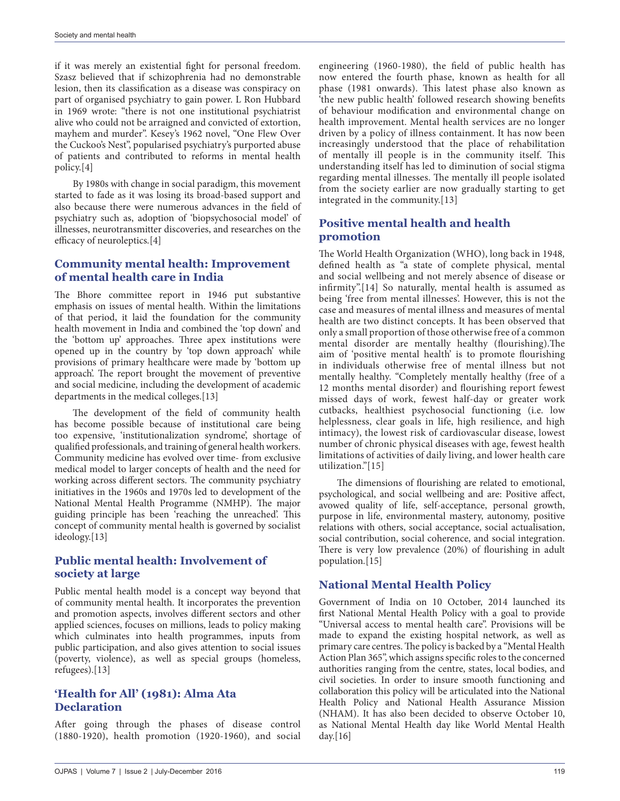if it was merely an existential fight for personal freedom. Szasz believed that if schizophrenia had no demonstrable lesion, then its classification as a disease was conspiracy on part of organised psychiatry to gain power. L Ron Hubbard in 1969 wrote: "there is not one institutional psychiatrist alive who could not be arraigned and convicted of extortion, mayhem and murder". Kesey's 1962 novel, "One Flew Over the Cuckoo's Nest", popularised psychiatry's purported abuse of patients and contributed to reforms in mental health policy.[4]

By 1980s with change in social paradigm, this movement started to fade as it was losing its broad-based support and also because there were numerous advances in the field of psychiatry such as, adoption of 'biopsychosocial model' of illnesses, neurotransmitter discoveries, and researches on the efficacy of neuroleptics*.*[4]

#### **Community mental health: Improvement of mental health care in India**

The Bhore committee report in 1946 put substantive emphasis on issues of mental health. Within the limitations of that period, it laid the foundation for the community health movement in India and combined the 'top down' and the 'bottom up' approaches. Three apex institutions were opened up in the country by 'top down approach' while provisions of primary healthcare were made by 'bottom up approach'. The report brought the movement of preventive and social medicine, including the development of academic departments in the medical colleges.[13]

The development of the field of community health has become possible because of institutional care being too expensive, 'institutionalization syndrome', shortage of qualified professionals, and training of general health workers. Community medicine has evolved over time- from exclusive medical model to larger concepts of health and the need for working across different sectors. The community psychiatry initiatives in the 1960s and 1970s led to development of the National Mental Health Programme (NMHP). The major guiding principle has been 'reaching the unreached'. This concept of community mental health is governed by socialist ideology.[13]

# **Public mental health: Involvement of society at large**

Public mental health model is a concept way beyond that of community mental health. It incorporates the prevention and promotion aspects, involves different sectors and other applied sciences, focuses on millions, leads to policy making which culminates into health programmes, inputs from public participation, and also gives attention to social issues (poverty, violence), as well as special groups (homeless, refugees).[13]

#### **'Health for All' (1981): Alma Ata Declaration**

After going through the phases of disease control (1880-1920), health promotion (1920-1960), and social engineering (1960-1980), the field of public health has now entered the fourth phase, known as health for all phase (1981 onwards). This latest phase also known as 'the new public health' followed research showing benefits of behaviour modification and environmental change on health improvement. Mental health services are no longer driven by a policy of illness containment. It has now been increasingly understood that the place of rehabilitation of mentally ill people is in the community itself. This understanding itself has led to diminution of social stigma regarding mental illnesses. The mentally ill people isolated from the society earlier are now gradually starting to get integrated in the community.[13]

#### **Positive mental health and health promotion**

The World Health Organization (WHO), long back in 1948*,*  defined health as "a state of complete physical, mental and social wellbeing and not merely absence of disease or infirmity".[14] So naturally, mental health is assumed as being 'free from mental illnesses'. However, this is not the case and measures of mental illness and measures of mental health are two distinct concepts. It has been observed that only a small proportion of those otherwise free of a common mental disorder are mentally healthy (flourishing).The aim of 'positive mental health' is to promote flourishing in individuals otherwise free of mental illness but not mentally healthy. "Completely mentally healthy (free of a 12 months mental disorder) and flourishing report fewest missed days of work, fewest half-day or greater work cutbacks, healthiest psychosocial functioning (i.e. low helplessness, clear goals in life, high resilience, and high intimacy), the lowest risk of cardiovascular disease, lowest number of chronic physical diseases with age, fewest health limitations of activities of daily living, and lower health care utilization."[15]

The dimensions of flourishing are related to emotional, psychological, and social wellbeing and are: Positive affect, avowed quality of life, self-acceptance, personal growth, purpose in life, environmental mastery, autonomy, positive relations with others, social acceptance, social actualisation, social contribution, social coherence, and social integration. There is very low prevalence (20%) of flourishing in adult population*.*[15]

# **National Mental Health Policy**

Government of India on 10 October, 2014 launched its first National Mental Health Policy with a goal to provide "Universal access to mental health care". Provisions will be made to expand the existing hospital network, as well as primary care centres. The policy is backed by a "Mental Health Action Plan 365", which assigns specific roles to the concerned authorities ranging from the centre, states, local bodies, and civil societies. In order to insure smooth functioning and collaboration this policy will be articulated into the National Health Policy and National Health Assurance Mission (NHAM). It has also been decided to observe October 10, as National Mental Health day like World Mental Health day. $[16]$